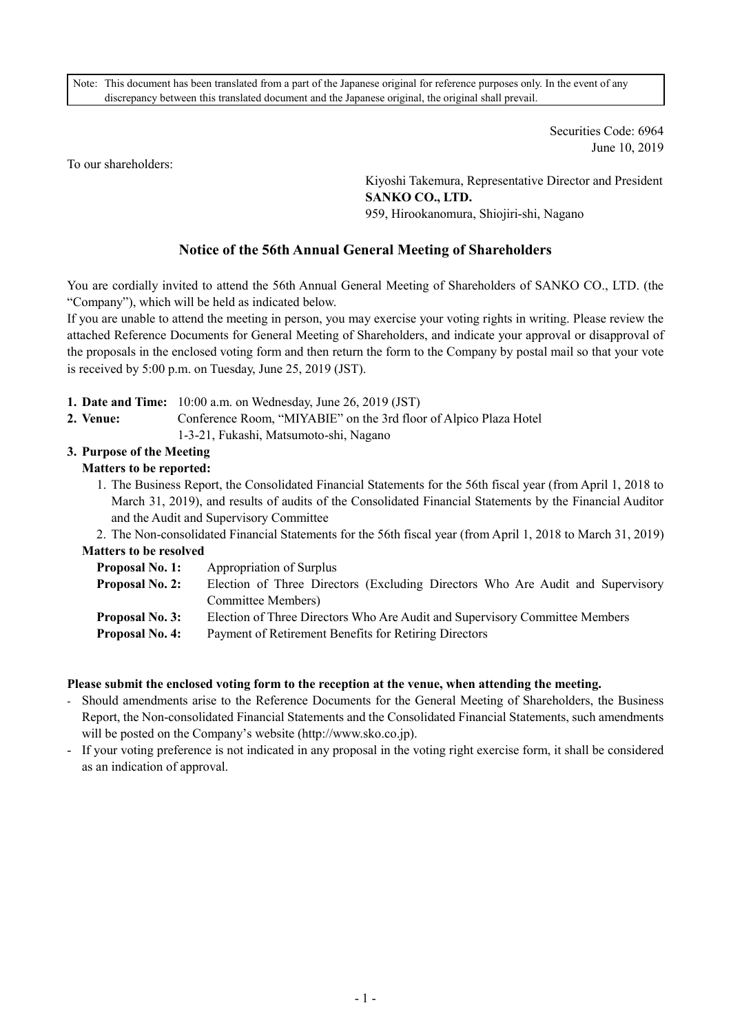Note: This document has been translated from a part of the Japanese original for reference purposes only. In the event of any discrepancy between this translated document and the Japanese original, the original shall prevail.

> Securities Code: 6964 June 10, 2019

To our shareholders:

Kiyoshi Takemura, Representative Director and President **SANKO CO., LTD.**  959, Hirookanomura, Shiojiri-shi, Nagano

## **Notice of the 56th Annual General Meeting of Shareholders**

You are cordially invited to attend the 56th Annual General Meeting of Shareholders of SANKO CO., LTD. (the "Company"), which will be held as indicated below.

If you are unable to attend the meeting in person, you may exercise your voting rights in writing. Please review the attached Reference Documents for General Meeting of Shareholders, and indicate your approval or disapproval of the proposals in the enclosed voting form and then return the form to the Company by postal mail so that your vote is received by 5:00 p.m. on Tuesday, June 25, 2019 (JST).

- **1. Date and Time:** 10:00 a.m. on Wednesday, June 26, 2019 (JST)
- **2. Venue:** Conference Room, "MIYABIE" on the 3rd floor of Alpico Plaza Hotel 1-3-21, Fukashi, Matsumoto-shi, Nagano

# **3. Purpose of the Meeting**

## **Matters to be reported:**

- 1. The Business Report, the Consolidated Financial Statements for the 56th fiscal year (from April 1, 2018 to March 31, 2019), and results of audits of the Consolidated Financial Statements by the Financial Auditor and the Audit and Supervisory Committee
- 2. The Non-consolidated Financial Statements for the 56th fiscal year (from April 1, 2018 to March 31, 2019) **Matters to be resolved** 
	- **Proposal No. 1:** Appropriation of Surplus
	- **Proposal No. 2:** Election of Three Directors (Excluding Directors Who Are Audit and Supervisory Committee Members)
	- **Proposal No. 3:** Election of Three Directors Who Are Audit and Supervisory Committee Members
	- **Proposal No. 4:** Payment of Retirement Benefits for Retiring Directors

#### **Please submit the enclosed voting form to the reception at the venue, when attending the meeting.**

- Should amendments arise to the Reference Documents for the General Meeting of Shareholders, the Business Report, the Non-consolidated Financial Statements and the Consolidated Financial Statements, such amendments will be posted on the Company's website (http://www.sko.co.jp).
- If your voting preference is not indicated in any proposal in the voting right exercise form, it shall be considered as an indication of approval.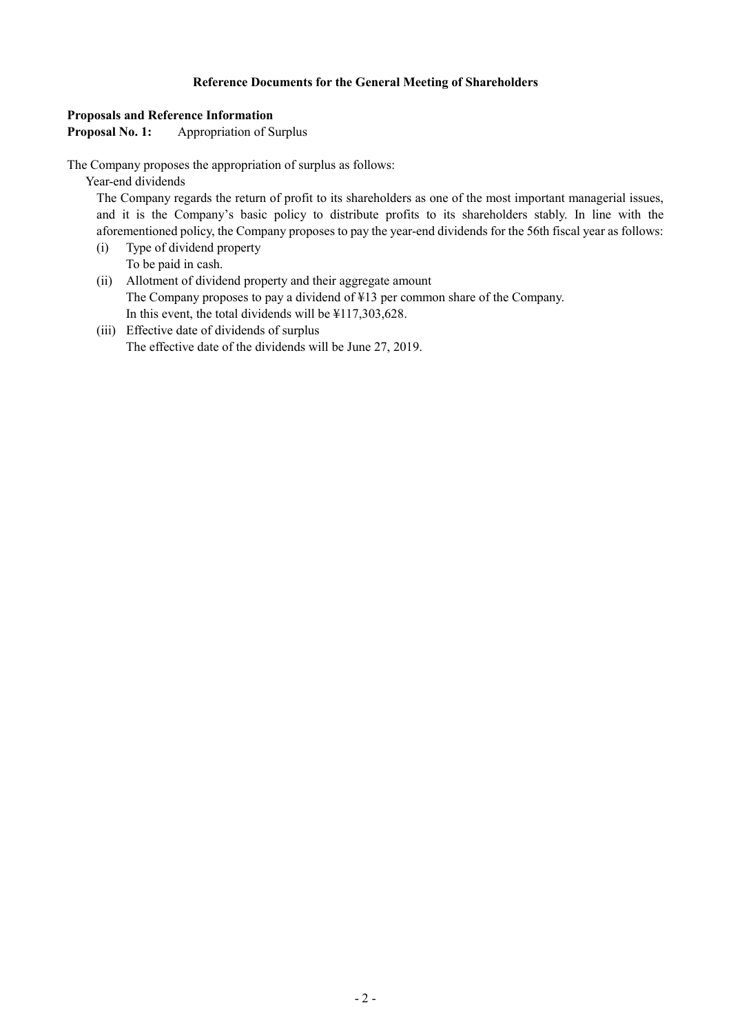## **Reference Documents for the General Meeting of Shareholders**

### **Proposals and Reference Information**

Proposal No. 1: Appropriation of Surplus

The Company proposes the appropriation of surplus as follows:

Year-end dividends

The Company regards the return of profit to its shareholders as one of the most important managerial issues, and it is the Company's basic policy to distribute profits to its shareholders stably. In line with the aforementioned policy, the Company proposes to pay the year-end dividends for the 56th fiscal year as follows:

- (i) Type of dividend property To be paid in cash.
- (ii) Allotment of dividend property and their aggregate amount The Company proposes to pay a dividend of ¥13 per common share of the Company. In this event, the total dividends will be ¥117,303,628.
- (iii) Effective date of dividends of surplus The effective date of the dividends will be June 27, 2019.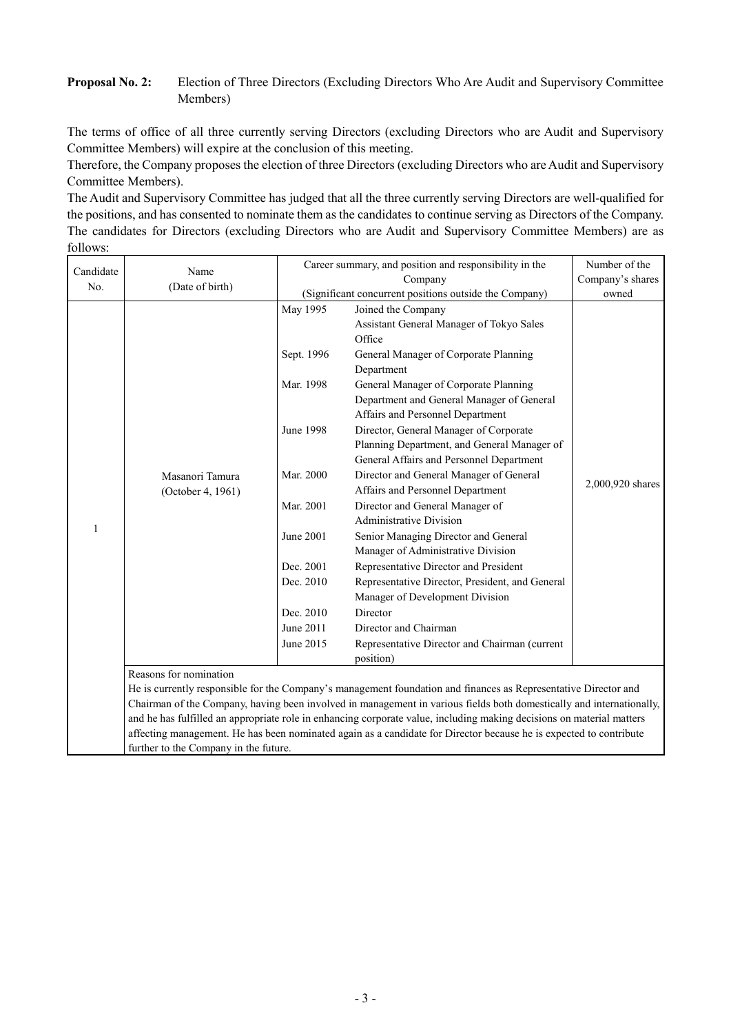## **Proposal No. 2:** Election of Three Directors (Excluding Directors Who Are Audit and Supervisory Committee Members)

The terms of office of all three currently serving Directors (excluding Directors who are Audit and Supervisory Committee Members) will expire at the conclusion of this meeting.

Therefore, the Company proposes the election of three Directors (excluding Directors who are Audit and Supervisory Committee Members).

The Audit and Supervisory Committee has judged that all the three currently serving Directors are well-qualified for the positions, and has consented to nominate them as the candidates to continue serving as Directors of the Company. The candidates for Directors (excluding Directors who are Audit and Supervisory Committee Members) are as follows:

| Candidate<br>No. | Name<br>(Date of birth)                                                                                                                                                                                                                 | Career summary, and position and responsibility in the<br>Number of the |                                                                                                                       |                  |
|------------------|-----------------------------------------------------------------------------------------------------------------------------------------------------------------------------------------------------------------------------------------|-------------------------------------------------------------------------|-----------------------------------------------------------------------------------------------------------------------|------------------|
|                  |                                                                                                                                                                                                                                         | Company                                                                 |                                                                                                                       | Company's shares |
|                  |                                                                                                                                                                                                                                         |                                                                         | (Significant concurrent positions outside the Company)                                                                | owned            |
|                  |                                                                                                                                                                                                                                         | May 1995                                                                | Joined the Company<br>Assistant General Manager of Tokyo Sales                                                        |                  |
|                  | Masanori Tamura                                                                                                                                                                                                                         |                                                                         | Office                                                                                                                |                  |
|                  |                                                                                                                                                                                                                                         | Sept. 1996                                                              | General Manager of Corporate Planning                                                                                 |                  |
|                  |                                                                                                                                                                                                                                         |                                                                         | Department                                                                                                            |                  |
|                  |                                                                                                                                                                                                                                         | Mar. 1998                                                               | General Manager of Corporate Planning                                                                                 |                  |
|                  |                                                                                                                                                                                                                                         |                                                                         | Department and General Manager of General                                                                             |                  |
|                  |                                                                                                                                                                                                                                         |                                                                         | Affairs and Personnel Department                                                                                      |                  |
|                  |                                                                                                                                                                                                                                         | June 1998                                                               | Director, General Manager of Corporate                                                                                |                  |
|                  |                                                                                                                                                                                                                                         |                                                                         | Planning Department, and General Manager of                                                                           |                  |
|                  |                                                                                                                                                                                                                                         |                                                                         | General Affairs and Personnel Department                                                                              |                  |
|                  |                                                                                                                                                                                                                                         | Mar. 2000                                                               | Director and General Manager of General<br>Affairs and Personnel Department                                           | 2,000,920 shares |
|                  | (October 4, 1961)                                                                                                                                                                                                                       | Mar. 2001                                                               | Director and General Manager of                                                                                       |                  |
|                  |                                                                                                                                                                                                                                         |                                                                         | <b>Administrative Division</b>                                                                                        |                  |
| 1                |                                                                                                                                                                                                                                         | June 2001                                                               | Senior Managing Director and General                                                                                  |                  |
|                  |                                                                                                                                                                                                                                         |                                                                         | Manager of Administrative Division                                                                                    |                  |
|                  |                                                                                                                                                                                                                                         | Dec. 2001                                                               | Representative Director and President                                                                                 |                  |
|                  |                                                                                                                                                                                                                                         | Dec. 2010                                                               | Representative Director, President, and General                                                                       |                  |
|                  |                                                                                                                                                                                                                                         |                                                                         | Manager of Development Division                                                                                       |                  |
|                  |                                                                                                                                                                                                                                         | Dec. 2010                                                               | Director                                                                                                              |                  |
|                  |                                                                                                                                                                                                                                         | June 2011                                                               | Director and Chairman                                                                                                 |                  |
|                  |                                                                                                                                                                                                                                         | June 2015                                                               | Representative Director and Chairman (current                                                                         |                  |
|                  |                                                                                                                                                                                                                                         |                                                                         | position)                                                                                                             |                  |
|                  | Reasons for nomination                                                                                                                                                                                                                  |                                                                         |                                                                                                                       |                  |
|                  | He is currently responsible for the Company's management foundation and finances as Representative Director and<br>Chairman of the Company, having been involved in management in various fields both domestically and internationally, |                                                                         |                                                                                                                       |                  |
|                  |                                                                                                                                                                                                                                         |                                                                         | and he has fulfilled an appropriate role in enhancing corporate value, including making decisions on material matters |                  |

affecting management. He has been nominated again as a candidate for Director because he is expected to contribute

further to the Company in the future.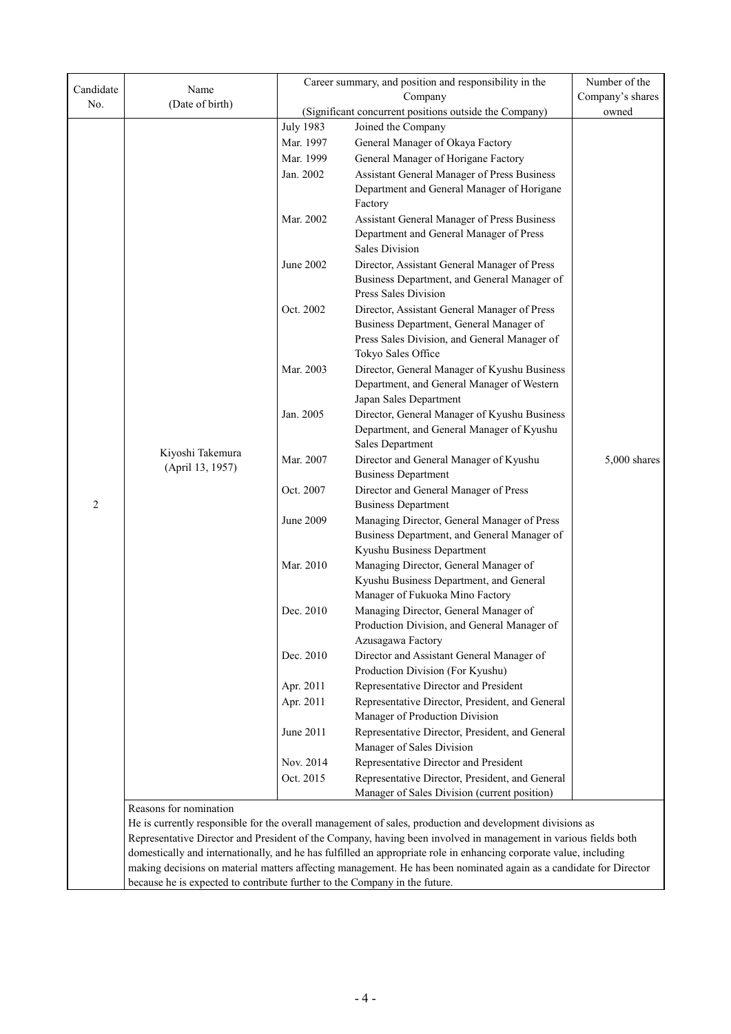| Candidate      | Name                                                                                                               | Career summary, and position and responsibility in the<br>Company |                                                                                                                      | Number of the    |  |
|----------------|--------------------------------------------------------------------------------------------------------------------|-------------------------------------------------------------------|----------------------------------------------------------------------------------------------------------------------|------------------|--|
| No.            | (Date of birth)                                                                                                    |                                                                   |                                                                                                                      | Company's shares |  |
|                |                                                                                                                    |                                                                   | (Significant concurrent positions outside the Company)                                                               | owned            |  |
|                |                                                                                                                    | <b>July 1983</b>                                                  | Joined the Company                                                                                                   |                  |  |
|                |                                                                                                                    | Mar. 1997                                                         | General Manager of Okaya Factory                                                                                     |                  |  |
|                |                                                                                                                    | Mar. 1999                                                         | General Manager of Horigane Factory                                                                                  |                  |  |
|                |                                                                                                                    | Jan. 2002                                                         | Assistant General Manager of Press Business                                                                          |                  |  |
|                |                                                                                                                    |                                                                   | Department and General Manager of Horigane                                                                           |                  |  |
|                |                                                                                                                    | Mar. 2002                                                         | Factory<br>Assistant General Manager of Press Business                                                               |                  |  |
|                |                                                                                                                    |                                                                   | Department and General Manager of Press<br><b>Sales Division</b>                                                     |                  |  |
|                |                                                                                                                    | June 2002                                                         | Director, Assistant General Manager of Press<br>Business Department, and General Manager of<br>Press Sales Division  |                  |  |
|                |                                                                                                                    | Oct. 2002                                                         | Director, Assistant General Manager of Press                                                                         |                  |  |
|                |                                                                                                                    |                                                                   | Business Department, General Manager of                                                                              |                  |  |
|                |                                                                                                                    |                                                                   | Press Sales Division, and General Manager of                                                                         |                  |  |
|                |                                                                                                                    |                                                                   | Tokyo Sales Office                                                                                                   |                  |  |
|                |                                                                                                                    | Mar. 2003                                                         | Director, General Manager of Kyushu Business<br>Department, and General Manager of Western<br>Japan Sales Department |                  |  |
|                |                                                                                                                    | Jan. 2005                                                         | Director, General Manager of Kyushu Business                                                                         |                  |  |
|                |                                                                                                                    |                                                                   | Department, and General Manager of Kyushu<br><b>Sales Department</b>                                                 |                  |  |
|                | Kiyoshi Takemura<br>(April 13, 1957)                                                                               | Mar. 2007                                                         | Director and General Manager of Kyushu<br><b>Business Department</b>                                                 | 5,000 shares     |  |
| $\overline{2}$ |                                                                                                                    | Oct. 2007                                                         | Director and General Manager of Press<br><b>Business Department</b>                                                  |                  |  |
|                |                                                                                                                    | June 2009                                                         | Managing Director, General Manager of Press<br>Business Department, and General Manager of                           |                  |  |
|                |                                                                                                                    | Mar. 2010                                                         | Kyushu Business Department<br>Managing Director, General Manager of                                                  |                  |  |
|                |                                                                                                                    |                                                                   | Kyushu Business Department, and General                                                                              |                  |  |
|                |                                                                                                                    |                                                                   | Manager of Fukuoka Mino Factory                                                                                      |                  |  |
|                |                                                                                                                    | Dec. 2010                                                         | Managing Director, General Manager of                                                                                |                  |  |
|                |                                                                                                                    |                                                                   | Production Division, and General Manager of                                                                          |                  |  |
|                |                                                                                                                    |                                                                   | Azusagawa Factory                                                                                                    |                  |  |
|                |                                                                                                                    | Dec. 2010                                                         | Director and Assistant General Manager of<br>Production Division (For Kyushu)                                        |                  |  |
|                |                                                                                                                    | Apr. 2011                                                         | Representative Director and President                                                                                |                  |  |
|                |                                                                                                                    | Apr. 2011                                                         | Representative Director, President, and General                                                                      |                  |  |
|                |                                                                                                                    |                                                                   | Manager of Production Division                                                                                       |                  |  |
|                |                                                                                                                    | June 2011                                                         | Representative Director, President, and General                                                                      |                  |  |
|                |                                                                                                                    |                                                                   | Manager of Sales Division                                                                                            |                  |  |
|                |                                                                                                                    | Nov. 2014<br>Oct. 2015                                            | Representative Director and President<br>Representative Director, President, and General                             |                  |  |
|                |                                                                                                                    |                                                                   | Manager of Sales Division (current position)                                                                         |                  |  |
|                | Reasons for nomination                                                                                             |                                                                   |                                                                                                                      |                  |  |
|                | He is currently responsible for the overall management of sales, production and development divisions as           |                                                                   |                                                                                                                      |                  |  |
|                | Representative Director and President of the Company, having been involved in management in various fields both    |                                                                   |                                                                                                                      |                  |  |
|                | domestically and internationally, and he has fulfilled an appropriate role in enhancing corporate value, including |                                                                   |                                                                                                                      |                  |  |
|                | making decisions on material matters affecting management. He has been nominated again as a candidate for Director |                                                                   |                                                                                                                      |                  |  |
|                | because he is expected to contribute further to the Company in the future.                                         |                                                                   |                                                                                                                      |                  |  |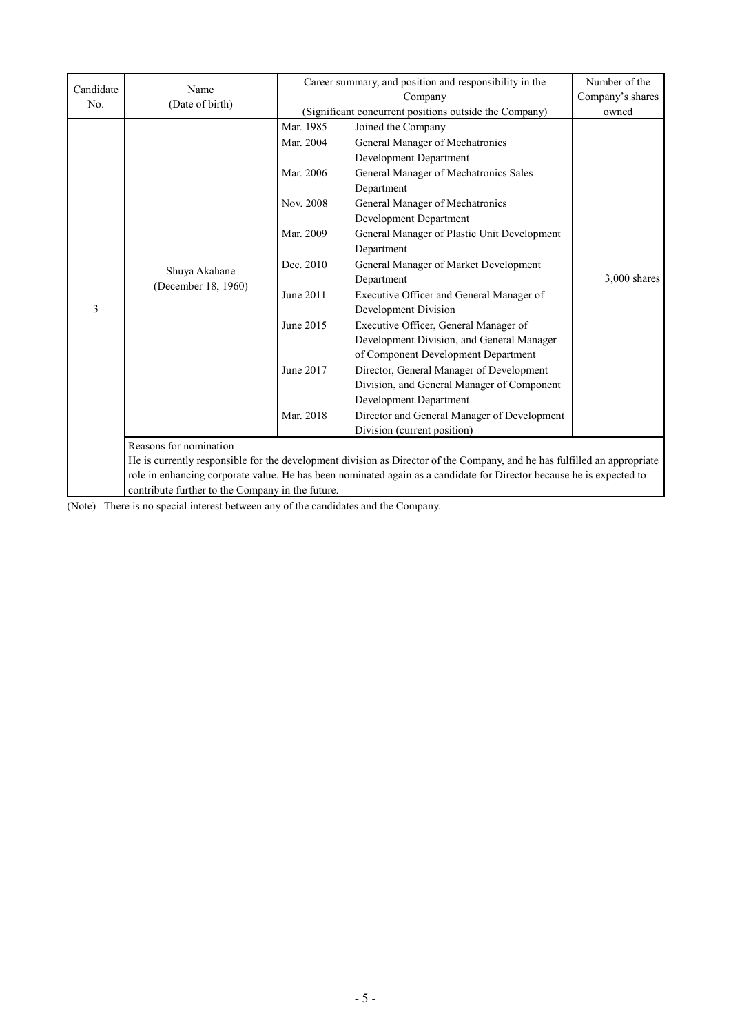| Candidate | Name<br>(Date of birth)                                                                                                  | Career summary, and position and responsibility in the<br>Number of the |                                                                                                                      |                |
|-----------|--------------------------------------------------------------------------------------------------------------------------|-------------------------------------------------------------------------|----------------------------------------------------------------------------------------------------------------------|----------------|
| No.       |                                                                                                                          |                                                                         | Company                                                                                                              |                |
|           |                                                                                                                          |                                                                         | (Significant concurrent positions outside the Company)                                                               | owned          |
|           | Shuya Akahane<br>(December 18, 1960)                                                                                     | Mar. 1985                                                               | Joined the Company                                                                                                   |                |
|           |                                                                                                                          | Mar. 2004                                                               | General Manager of Mechatronics                                                                                      |                |
|           |                                                                                                                          |                                                                         | Development Department                                                                                               |                |
|           |                                                                                                                          | Mar. 2006                                                               | General Manager of Mechatronics Sales                                                                                |                |
|           |                                                                                                                          |                                                                         | Department                                                                                                           |                |
|           |                                                                                                                          | Nov. 2008                                                               | General Manager of Mechatronics                                                                                      |                |
|           |                                                                                                                          |                                                                         | Development Department                                                                                               |                |
|           |                                                                                                                          | Mar. 2009                                                               | General Manager of Plastic Unit Development                                                                          |                |
|           |                                                                                                                          |                                                                         | Department                                                                                                           |                |
|           |                                                                                                                          | Dec. 2010                                                               | General Manager of Market Development                                                                                |                |
|           |                                                                                                                          |                                                                         | Department                                                                                                           | $3,000$ shares |
|           |                                                                                                                          | June 2011                                                               | Executive Officer and General Manager of                                                                             |                |
| 3         |                                                                                                                          |                                                                         | Development Division                                                                                                 |                |
|           |                                                                                                                          | June 2015                                                               | Executive Officer, General Manager of                                                                                |                |
|           |                                                                                                                          |                                                                         | Development Division, and General Manager                                                                            |                |
|           |                                                                                                                          |                                                                         | of Component Development Department                                                                                  |                |
|           |                                                                                                                          | June 2017                                                               | Director, General Manager of Development                                                                             |                |
|           |                                                                                                                          |                                                                         | Division, and General Manager of Component                                                                           |                |
|           |                                                                                                                          |                                                                         | Development Department                                                                                               |                |
|           |                                                                                                                          | Mar. 2018                                                               | Director and General Manager of Development                                                                          |                |
|           |                                                                                                                          |                                                                         | Division (current position)                                                                                          |                |
|           | Reasons for nomination                                                                                                   |                                                                         |                                                                                                                      |                |
|           | He is currently responsible for the development division as Director of the Company, and he has fulfilled an appropriate |                                                                         |                                                                                                                      |                |
|           |                                                                                                                          |                                                                         | role in enhancing corporate value. He has been nominated again as a candidate for Director because he is expected to |                |
|           | contribute further to the Company in the future.                                                                         |                                                                         |                                                                                                                      |                |

(Note) There is no special interest between any of the candidates and the Company.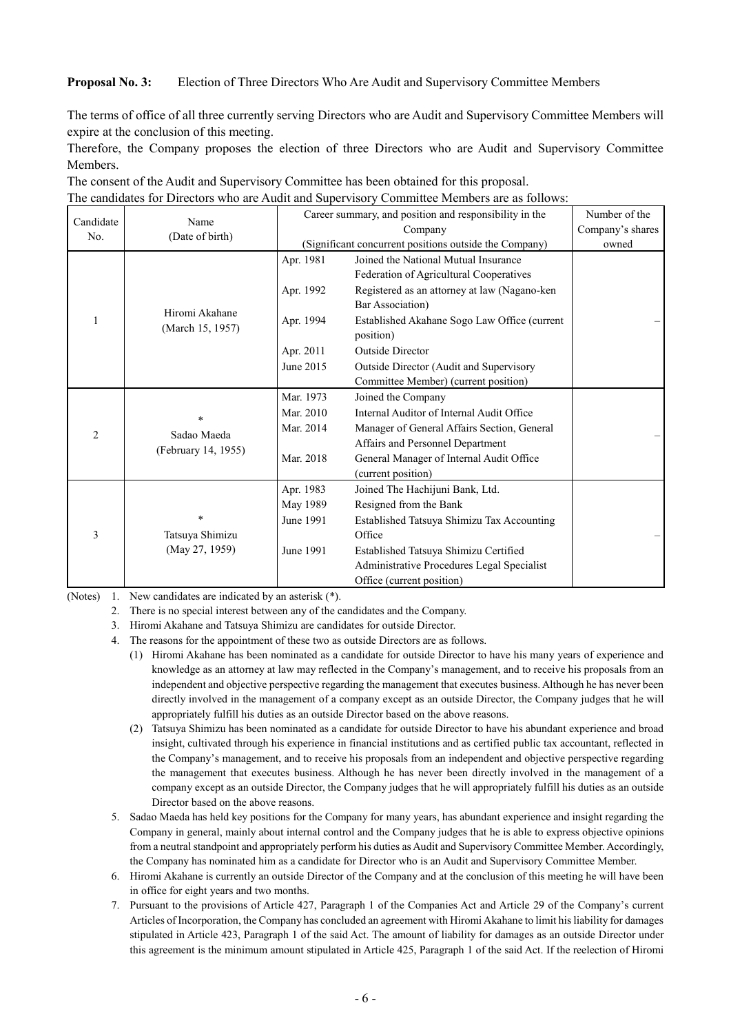#### **Proposal No. 3:** Election of Three Directors Who Are Audit and Supervisory Committee Members

The terms of office of all three currently serving Directors who are Audit and Supervisory Committee Members will expire at the conclusion of this meeting.

Therefore, the Company proposes the election of three Directors who are Audit and Supervisory Committee Members.

| Candidate      | Name<br>(Date of birth)                       | Career summary, and position and responsibility in the |                                              | Number of the    |
|----------------|-----------------------------------------------|--------------------------------------------------------|----------------------------------------------|------------------|
| No.            |                                               | Company                                                |                                              | Company's shares |
|                |                                               | (Significant concurrent positions outside the Company) |                                              | owned            |
|                | Hiromi Akahane<br>(March 15, 1957)            | Apr. 1981                                              | Joined the National Mutual Insurance         |                  |
|                |                                               |                                                        | Federation of Agricultural Cooperatives      |                  |
|                |                                               | Apr. 1992                                              | Registered as an attorney at law (Nagano-ken |                  |
|                |                                               |                                                        | Bar Association)                             |                  |
|                |                                               | Apr. 1994                                              | Established Akahane Sogo Law Office (current |                  |
|                |                                               |                                                        | position)                                    |                  |
|                |                                               | Apr. 2011                                              | <b>Outside Director</b>                      |                  |
|                |                                               | June 2015                                              | Outside Director (Audit and Supervisory      |                  |
|                |                                               |                                                        | Committee Member) (current position)         |                  |
|                | $\star$<br>Sadao Maeda<br>(February 14, 1955) | Mar. 1973                                              | Joined the Company                           |                  |
|                |                                               | Mar. 2010                                              | Internal Auditor of Internal Audit Office    |                  |
| $\overline{2}$ |                                               | Mar. 2014                                              | Manager of General Affairs Section, General  |                  |
|                |                                               |                                                        | Affairs and Personnel Department             |                  |
|                |                                               | Mar. 2018                                              | General Manager of Internal Audit Office     |                  |
|                |                                               |                                                        | (current position)                           |                  |
| 3              |                                               | Apr. 1983                                              | Joined The Hachijuni Bank, Ltd.              |                  |
|                | $\star$<br>Tatsuya Shimizu                    | May 1989                                               | Resigned from the Bank                       |                  |
|                |                                               | June 1991                                              | Established Tatsuya Shimizu Tax Accounting   |                  |
|                |                                               |                                                        | Office                                       |                  |
|                | (May 27, 1959)                                | June 1991                                              | Established Tatsuya Shimizu Certified        |                  |
|                |                                               |                                                        | Administrative Procedures Legal Specialist   |                  |
|                |                                               |                                                        | Office (current position)                    |                  |

The consent of the Audit and Supervisory Committee has been obtained for this proposal. The candidates for Directors who are Audit and Supervisory Committee Members are as follows:

(Notes) 1. New candidates are indicated by an asterisk (\*).

- 2. There is no special interest between any of the candidates and the Company.
- 3. Hiromi Akahane and Tatsuya Shimizu are candidates for outside Director.
- 4. The reasons for the appointment of these two as outside Directors are as follows.
	- (1) Hiromi Akahane has been nominated as a candidate for outside Director to have his many years of experience and knowledge as an attorney at law may reflected in the Company's management, and to receive his proposals from an independent and objective perspective regarding the management that executes business. Although he has never been directly involved in the management of a company except as an outside Director, the Company judges that he will appropriately fulfill his duties as an outside Director based on the above reasons.
	- (2) Tatsuya Shimizu has been nominated as a candidate for outside Director to have his abundant experience and broad insight, cultivated through his experience in financial institutions and as certified public tax accountant, reflected in the Company's management, and to receive his proposals from an independent and objective perspective regarding the management that executes business. Although he has never been directly involved in the management of a company except as an outside Director, the Company judges that he will appropriately fulfill his duties as an outside Director based on the above reasons.
- 5. Sadao Maeda has held key positions for the Company for many years, has abundant experience and insight regarding the Company in general, mainly about internal control and the Company judges that he is able to express objective opinions from a neutral standpoint and appropriately perform his duties as Audit and Supervisory Committee Member. Accordingly, the Company has nominated him as a candidate for Director who is an Audit and Supervisory Committee Member.
- 6. Hiromi Akahane is currently an outside Director of the Company and at the conclusion of this meeting he will have been in office for eight years and two months.
- 7. Pursuant to the provisions of Article 427, Paragraph 1 of the Companies Act and Article 29 of the Company's current Articles of Incorporation, the Company has concluded an agreement with Hiromi Akahane to limit his liability for damages stipulated in Article 423, Paragraph 1 of the said Act. The amount of liability for damages as an outside Director under this agreement is the minimum amount stipulated in Article 425, Paragraph 1 of the said Act. If the reelection of Hiromi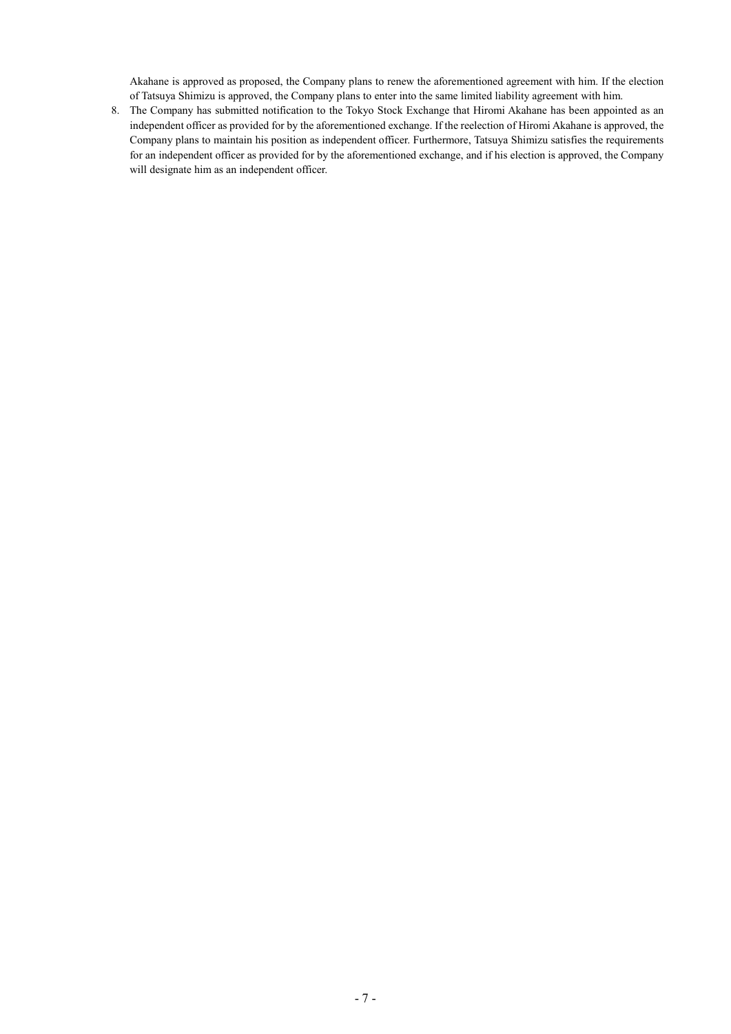Akahane is approved as proposed, the Company plans to renew the aforementioned agreement with him. If the election of Tatsuya Shimizu is approved, the Company plans to enter into the same limited liability agreement with him.

8. The Company has submitted notification to the Tokyo Stock Exchange that Hiromi Akahane has been appointed as an independent officer as provided for by the aforementioned exchange. If the reelection of Hiromi Akahane is approved, the Company plans to maintain his position as independent officer. Furthermore, Tatsuya Shimizu satisfies the requirements for an independent officer as provided for by the aforementioned exchange, and if his election is approved, the Company will designate him as an independent officer.